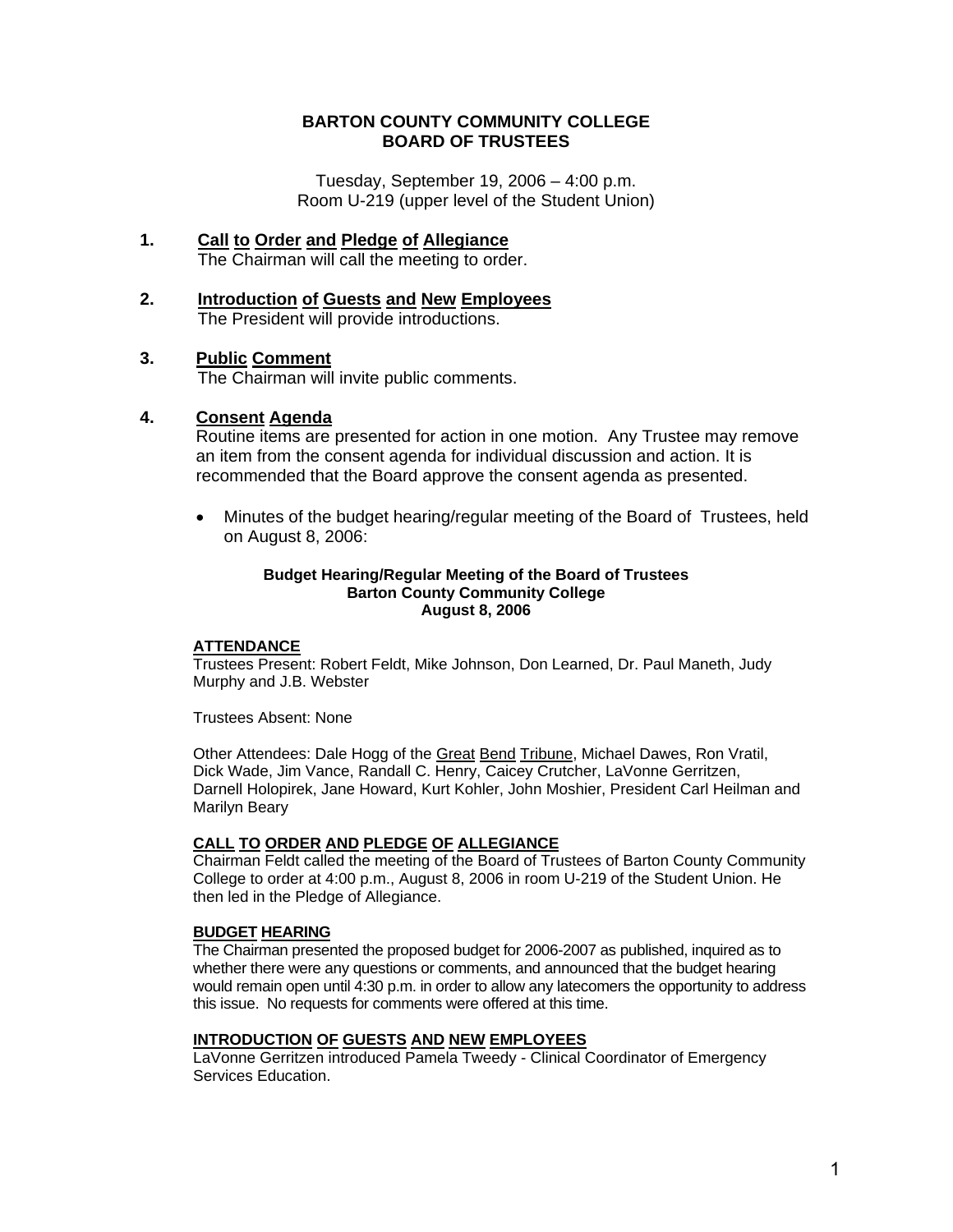## **BARTON COUNTY COMMUNITY COLLEGE BOARD OF TRUSTEES**

Tuesday, September 19, 2006 – 4:00 p.m. Room U-219 (upper level of the Student Union)

- **1. Call to Order and Pledge of Allegiance** The Chairman will call the meeting to order.
- **2. Introduction of Guests and New Employees** The President will provide introductions.

## **3. Public Comment**

The Chairman will invite public comments.

### **4. Consent Agenda**

Routine items are presented for action in one motion. Any Trustee may remove an item from the consent agenda for individual discussion and action. It is recommended that the Board approve the consent agenda as presented.

• Minutes of the budget hearing/regular meeting of the Board of Trustees, held on August 8, 2006:

#### **Budget Hearing/Regular Meeting of the Board of Trustees Barton County Community College August 8, 2006**

### **ATTENDANCE**

 Trustees Present: Robert Feldt, Mike Johnson, Don Learned, Dr. Paul Maneth, Judy Murphy and J.B. Webster

Trustees Absent: None

 Other Attendees: Dale Hogg of the Great Bend Tribune, Michael Dawes, Ron Vratil, Dick Wade, Jim Vance, Randall C. Henry, Caicey Crutcher, LaVonne Gerritzen, Darnell Holopirek, Jane Howard, Kurt Kohler, John Moshier, President Carl Heilman and Marilyn Beary

### **CALL TO ORDER AND PLEDGE OF ALLEGIANCE**

 Chairman Feldt called the meeting of the Board of Trustees of Barton County Community College to order at 4:00 p.m., August 8, 2006 in room U-219 of the Student Union. He then led in the Pledge of Allegiance.

### **BUDGET HEARING**

 The Chairman presented the proposed budget for 2006-2007 as published, inquired as to whether there were any questions or comments, and announced that the budget hearing would remain open until 4:30 p.m. in order to allow any latecomers the opportunity to address this issue. No requests for comments were offered at this time.

#### **INTRODUCTION OF GUESTS AND NEW EMPLOYEES**

 LaVonne Gerritzen introduced Pamela Tweedy - Clinical Coordinator of Emergency Services Education.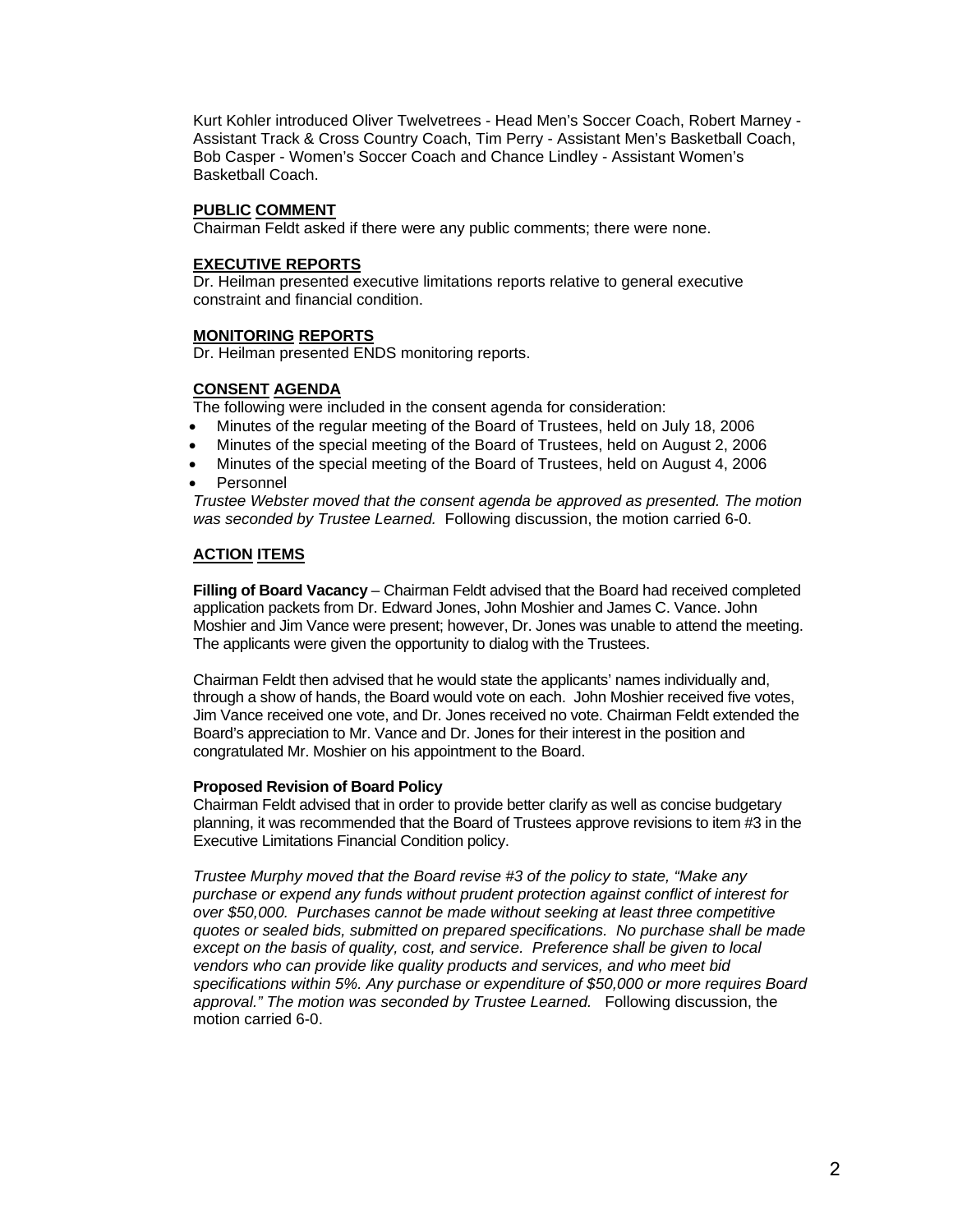Kurt Kohler introduced Oliver Twelvetrees - Head Men's Soccer Coach, Robert Marney - Assistant Track & Cross Country Coach, Tim Perry - Assistant Men's Basketball Coach, Bob Casper - Women's Soccer Coach and Chance Lindley - Assistant Women's Basketball Coach.

### **PUBLIC COMMENT**

Chairman Feldt asked if there were any public comments; there were none.

#### **EXECUTIVE REPORTS**

 Dr. Heilman presented executive limitations reports relative to general executive constraint and financial condition.

### **MONITORING REPORTS**

Dr. Heilman presented ENDS monitoring reports.

### **CONSENT AGENDA**

The following were included in the consent agenda for consideration:

- Minutes of the regular meeting of the Board of Trustees, held on July 18, 2006
- Minutes of the special meeting of the Board of Trustees, held on August 2, 2006
- Minutes of the special meeting of the Board of Trustees, held on August 4, 2006
- **Personnel**

 *Trustee Webster moved that the consent agenda be approved as presented. The motion was seconded by Trustee Learned.* Following discussion, the motion carried 6-0.

### **ACTION ITEMS**

 **Filling of Board Vacancy** – Chairman Feldt advised that the Board had received completed application packets from Dr. Edward Jones, John Moshier and James C. Vance. John Moshier and Jim Vance were present; however, Dr. Jones was unable to attend the meeting. The applicants were given the opportunity to dialog with the Trustees.

 Chairman Feldt then advised that he would state the applicants' names individually and, through a show of hands, the Board would vote on each. John Moshier received five votes, Jim Vance received one vote, and Dr. Jones received no vote. Chairman Feldt extended the Board's appreciation to Mr. Vance and Dr. Jones for their interest in the position and congratulated Mr. Moshier on his appointment to the Board.

#### **Proposed Revision of Board Policy**

 Chairman Feldt advised that in order to provide better clarify as well as concise budgetary planning, it was recommended that the Board of Trustees approve revisions to item #3 in the Executive Limitations Financial Condition policy.

 *Trustee Murphy moved that the Board revise #3 of the policy to state, "Make any purchase or expend any funds without prudent protection against conflict of interest for over \$50,000. Purchases cannot be made without seeking at least three competitive quotes or sealed bids, submitted on prepared specifications. No purchase shall be made*  except on the basis of quality, cost, and service. Preference shall be given to local *vendors who can provide like quality products and services, and who meet bid specifications within 5%. Any purchase or expenditure of \$50,000 or more requires Board approval." The motion was seconded by Trustee Learned.* Following discussion, the motion carried 6-0.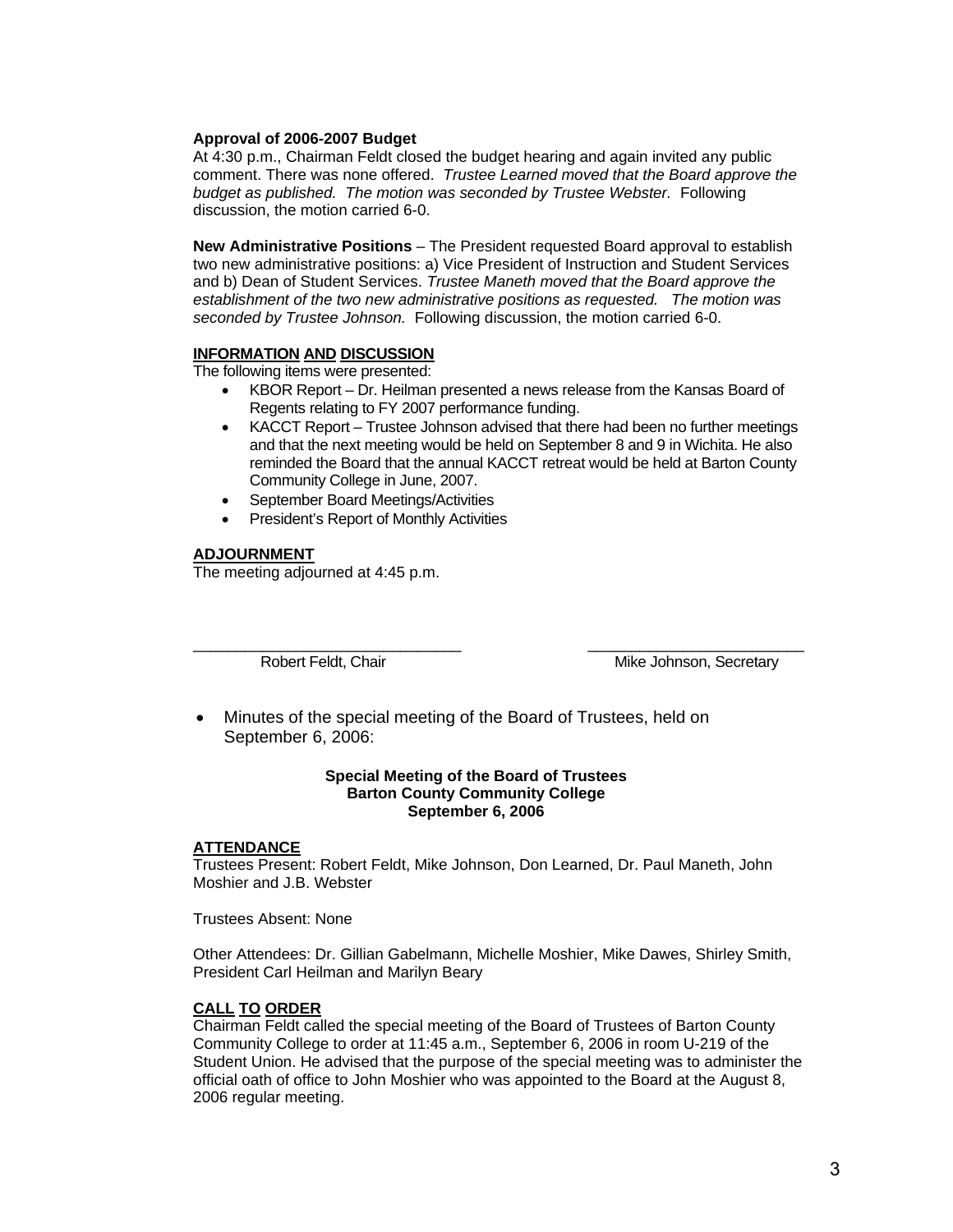#### **Approval of 2006-2007 Budget**

 At 4:30 p.m., Chairman Feldt closed the budget hearing and again invited any public comment. There was none offered. *Trustee Learned moved that the Board approve the budget as published. The motion was seconded by Trustee Webster.* Following discussion, the motion carried 6-0.

 **New Administrative Positions** – The President requested Board approval to establish two new administrative positions: a) Vice President of Instruction and Student Services and b) Dean of Student Services. *Trustee Maneth moved that the Board approve the establishment of the two new administrative positions as requested. The motion was seconded by Trustee Johnson.* Following discussion, the motion carried 6-0.

### **INFORMATION AND DISCUSSION**

The following items were presented:

- KBOR Report Dr. Heilman presented a news release from the Kansas Board of Regents relating to FY 2007 performance funding.
- KACCT Report Trustee Johnson advised that there had been no further meetings and that the next meeting would be held on September 8 and 9 in Wichita. He also reminded the Board that the annual KACCT retreat would be held at Barton County Community College in June, 2007.
- September Board Meetings/Activities
- President's Report of Monthly Activities

### **ADJOURNMENT**

The meeting adjourned at 4:45 p.m.

 $\frac{1}{2}$  ,  $\frac{1}{2}$  ,  $\frac{1}{2}$  ,  $\frac{1}{2}$  ,  $\frac{1}{2}$  ,  $\frac{1}{2}$  ,  $\frac{1}{2}$  ,  $\frac{1}{2}$  ,  $\frac{1}{2}$  ,  $\frac{1}{2}$  ,  $\frac{1}{2}$  ,  $\frac{1}{2}$  ,  $\frac{1}{2}$  ,  $\frac{1}{2}$  ,  $\frac{1}{2}$  ,  $\frac{1}{2}$  ,  $\frac{1}{2}$  ,  $\frac{1}{2}$  ,  $\frac{1$ 

Robert Feldt, Chair Mike Johnson, Secretary

• Minutes of the special meeting of the Board of Trustees, held on September 6, 2006:

#### **Special Meeting of the Board of Trustees Barton County Community College September 6, 2006**

#### **ATTENDANCE**

 Trustees Present: Robert Feldt, Mike Johnson, Don Learned, Dr. Paul Maneth, John Moshier and J.B. Webster

Trustees Absent: None

 Other Attendees: Dr. Gillian Gabelmann, Michelle Moshier, Mike Dawes, Shirley Smith, President Carl Heilman and Marilyn Beary

#### **CALL TO ORDER**

 Chairman Feldt called the special meeting of the Board of Trustees of Barton County Community College to order at 11:45 a.m., September 6, 2006 in room U-219 of the Student Union. He advised that the purpose of the special meeting was to administer the official oath of office to John Moshier who was appointed to the Board at the August 8, 2006 regular meeting.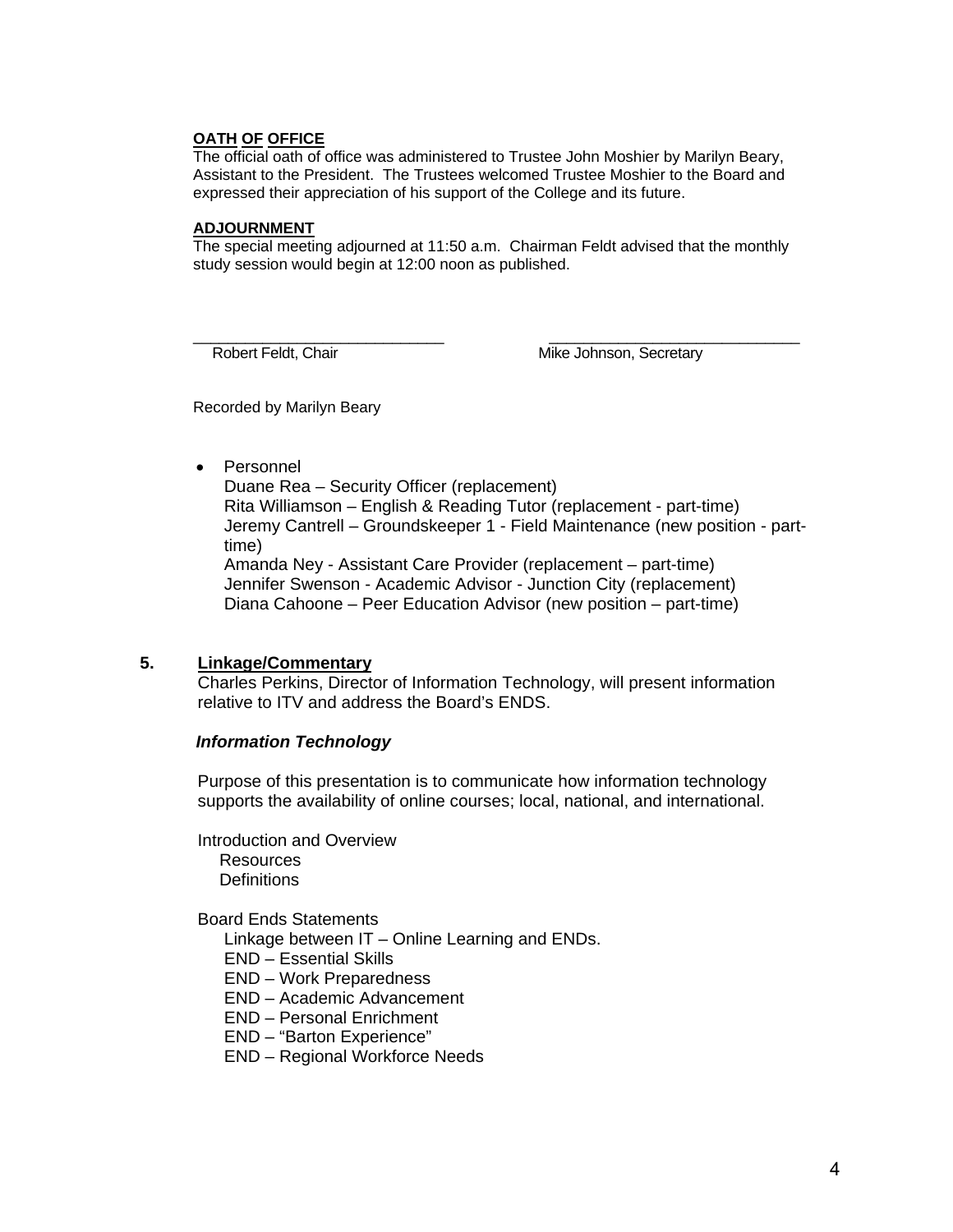### **OATH OF OFFICE**

 The official oath of office was administered to Trustee John Moshier by Marilyn Beary, Assistant to the President. The Trustees welcomed Trustee Moshier to the Board and expressed their appreciation of his support of the College and its future.

#### **ADJOURNMENT**

 The special meeting adjourned at 11:50 a.m.Chairman Feldt advised that the monthly study session would begin at 12:00 noon as published.

 $\frac{1}{2}$  ,  $\frac{1}{2}$  ,  $\frac{1}{2}$  ,  $\frac{1}{2}$  ,  $\frac{1}{2}$  ,  $\frac{1}{2}$  ,  $\frac{1}{2}$  ,  $\frac{1}{2}$  ,  $\frac{1}{2}$  ,  $\frac{1}{2}$  ,  $\frac{1}{2}$  ,  $\frac{1}{2}$  ,  $\frac{1}{2}$  ,  $\frac{1}{2}$  ,  $\frac{1}{2}$  ,  $\frac{1}{2}$  ,  $\frac{1}{2}$  ,  $\frac{1}{2}$  ,  $\frac{1$ 

Robert Feldt, Chair Mike Johnson, Secretary

Recorded by Marilyn Beary

• Personnel

 Duane Rea – Security Officer (replacement) Rita Williamson – English & Reading Tutor (replacement - part-time) Jeremy Cantrell – Groundskeeper 1 - Field Maintenance (new position - part time) Amanda Ney - Assistant Care Provider (replacement – part-time)

 Jennifer Swenson - Academic Advisor - Junction City (replacement) Diana Cahoone – Peer Education Advisor (new position – part-time)

## **5. Linkage/Commentary**

Charles Perkins, Director of Information Technology, will present information relative to ITV and address the Board's ENDS.

### *Information Technology*

 Purpose of this presentation is to communicate how information technology supports the availability of online courses; local, national, and international.

 Introduction and Overview Resources **Definitions** 

Board Ends Statements

Linkage between IT – Online Learning and ENDs.

- END Essential Skills
- END Work Preparedness
- END Academic Advancement
- END Personal Enrichment
- END "Barton Experience"
- END Regional Workforce Needs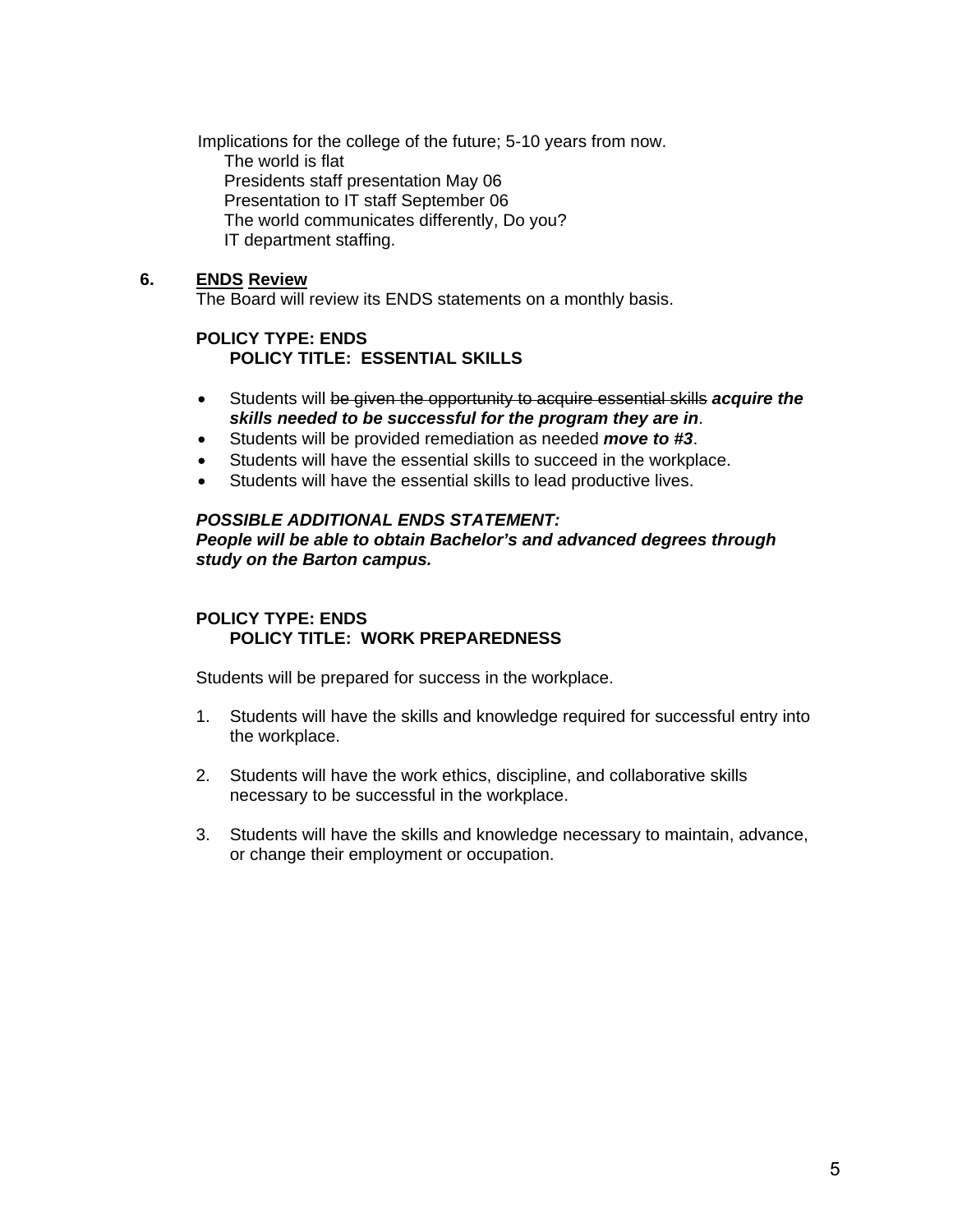Implications for the college of the future; 5-10 years from now. The world is flat Presidents staff presentation May 06 Presentation to IT staff September 06 The world communicates differently, Do you? IT department staffing.

## **6. ENDS Review**

The Board will review its ENDS statements on a monthly basis.

## **POLICY TYPE: ENDS POLICY TITLE: ESSENTIAL SKILLS**

- Students will be given the opportunity to acquire essential skills *acquire the skills needed to be successful for the program they are in*.
- Students will be provided remediation as needed *move to #3*.
- Students will have the essential skills to succeed in the workplace.
- Students will have the essential skills to lead productive lives.

### *POSSIBLE ADDITIONAL ENDS STATEMENT: People will be able to obtain Bachelor's and advanced degrees through study on the Barton campus.*

# **POLICY TYPE: ENDS POLICY TITLE: WORK PREPAREDNESS**

Students will be prepared for success in the workplace.

- 1. Students will have the skills and knowledge required for successful entry into the workplace.
- 2. Students will have the work ethics, discipline, and collaborative skills necessary to be successful in the workplace.
- 3. Students will have the skills and knowledge necessary to maintain, advance, or change their employment or occupation.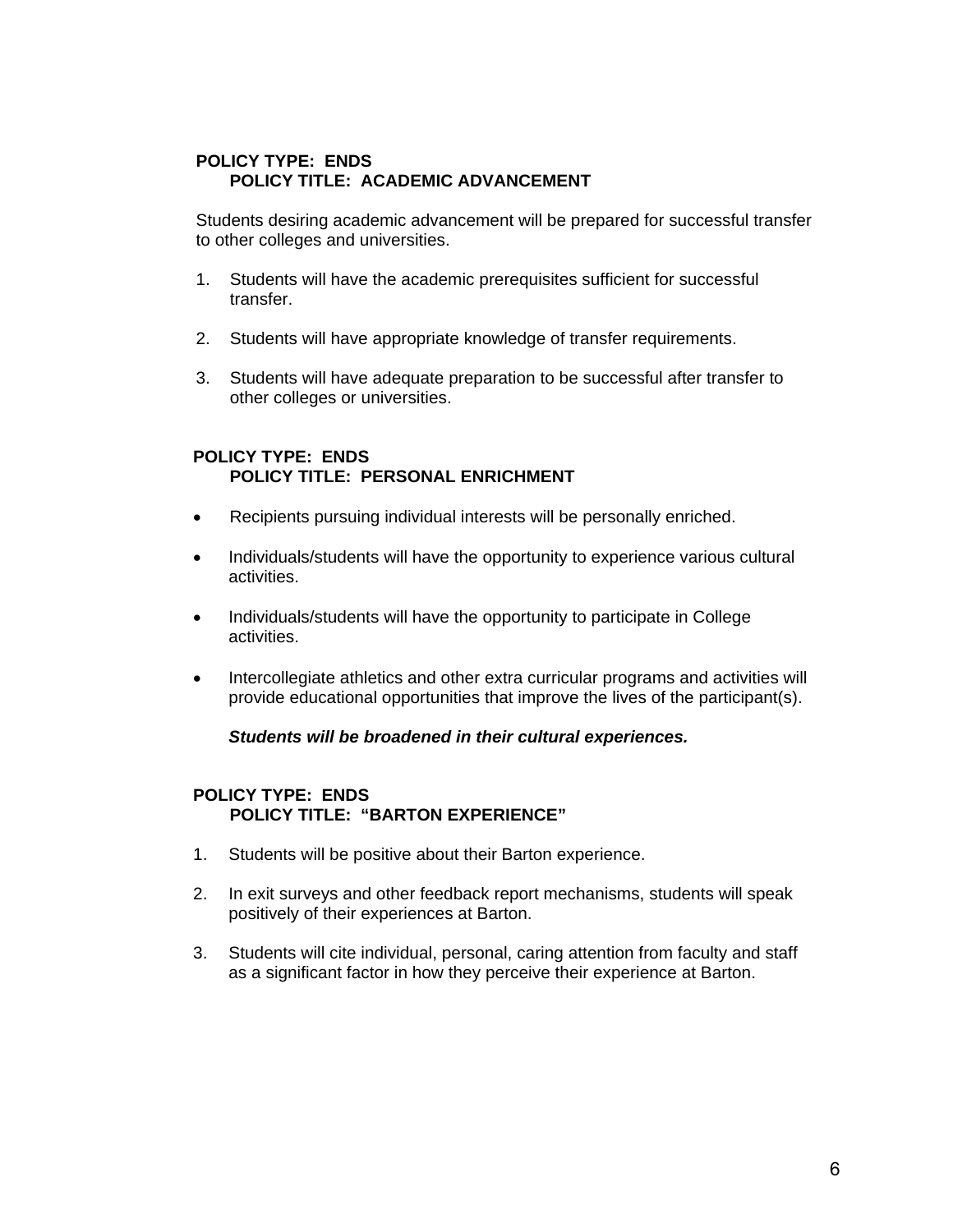# **POLICY TYPE: ENDS POLICY TITLE: ACADEMIC ADVANCEMENT**

 Students desiring academic advancement will be prepared for successful transfer to other colleges and universities.

- 1. Students will have the academic prerequisites sufficient for successful transfer.
- 2. Students will have appropriate knowledge of transfer requirements.
- 3. Students will have adequate preparation to be successful after transfer to other colleges or universities.

## **POLICY TYPE: ENDS POLICY TITLE: PERSONAL ENRICHMENT**

- Recipients pursuing individual interests will be personally enriched.
- Individuals/students will have the opportunity to experience various cultural activities.
- Individuals/students will have the opportunity to participate in College activities.
- Intercollegiate athletics and other extra curricular programs and activities will provide educational opportunities that improve the lives of the participant(s).

## *Students will be broadened in their cultural experiences.*

## **POLICY TYPE: ENDS POLICY TITLE: "BARTON EXPERIENCE"**

- 1. Students will be positive about their Barton experience.
- 2. In exit surveys and other feedback report mechanisms, students will speak positively of their experiences at Barton.
- 3. Students will cite individual, personal, caring attention from faculty and staff as a significant factor in how they perceive their experience at Barton.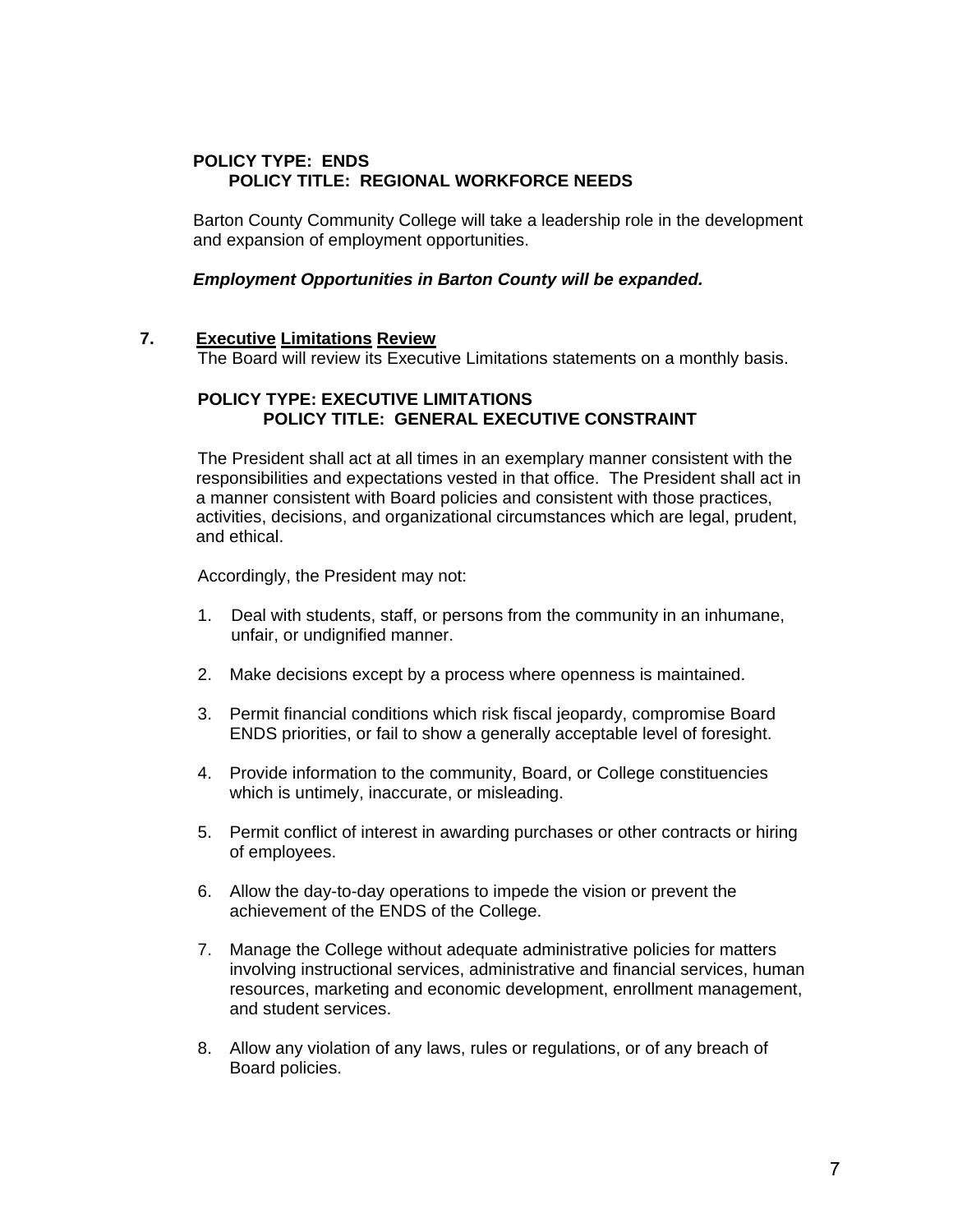# **POLICY TYPE: ENDS POLICY TITLE: REGIONAL WORKFORCE NEEDS**

 Barton County Community College will take a leadership role in the development and expansion of employment opportunities.

## *Employment Opportunities in Barton County will be expanded.*

## **7. Executive Limitations Review**

The Board will review its Executive Limitations statements on a monthly basis.

## **POLICY TYPE: EXECUTIVE LIMITATIONS POLICY TITLE: GENERAL EXECUTIVE CONSTRAINT**

The President shall act at all times in an exemplary manner consistent with the responsibilities and expectations vested in that office. The President shall act in a manner consistent with Board policies and consistent with those practices, activities, decisions, and organizational circumstances which are legal, prudent, and ethical.

Accordingly, the President may not:

- 1. Deal with students, staff, or persons from the community in an inhumane, unfair, or undignified manner.
- 2. Make decisions except by a process where openness is maintained.
- 3. Permit financial conditions which risk fiscal jeopardy, compromise Board ENDS priorities, or fail to show a generally acceptable level of foresight.
- 4. Provide information to the community, Board, or College constituencies which is untimely, inaccurate, or misleading.
- 5. Permit conflict of interest in awarding purchases or other contracts or hiring of employees.
- 6. Allow the day-to-day operations to impede the vision or prevent the achievement of the ENDS of the College.
- 7. Manage the College without adequate administrative policies for matters involving instructional services, administrative and financial services, human resources, marketing and economic development, enrollment management, and student services.
- 8. Allow any violation of any laws, rules or regulations, or of any breach of Board policies.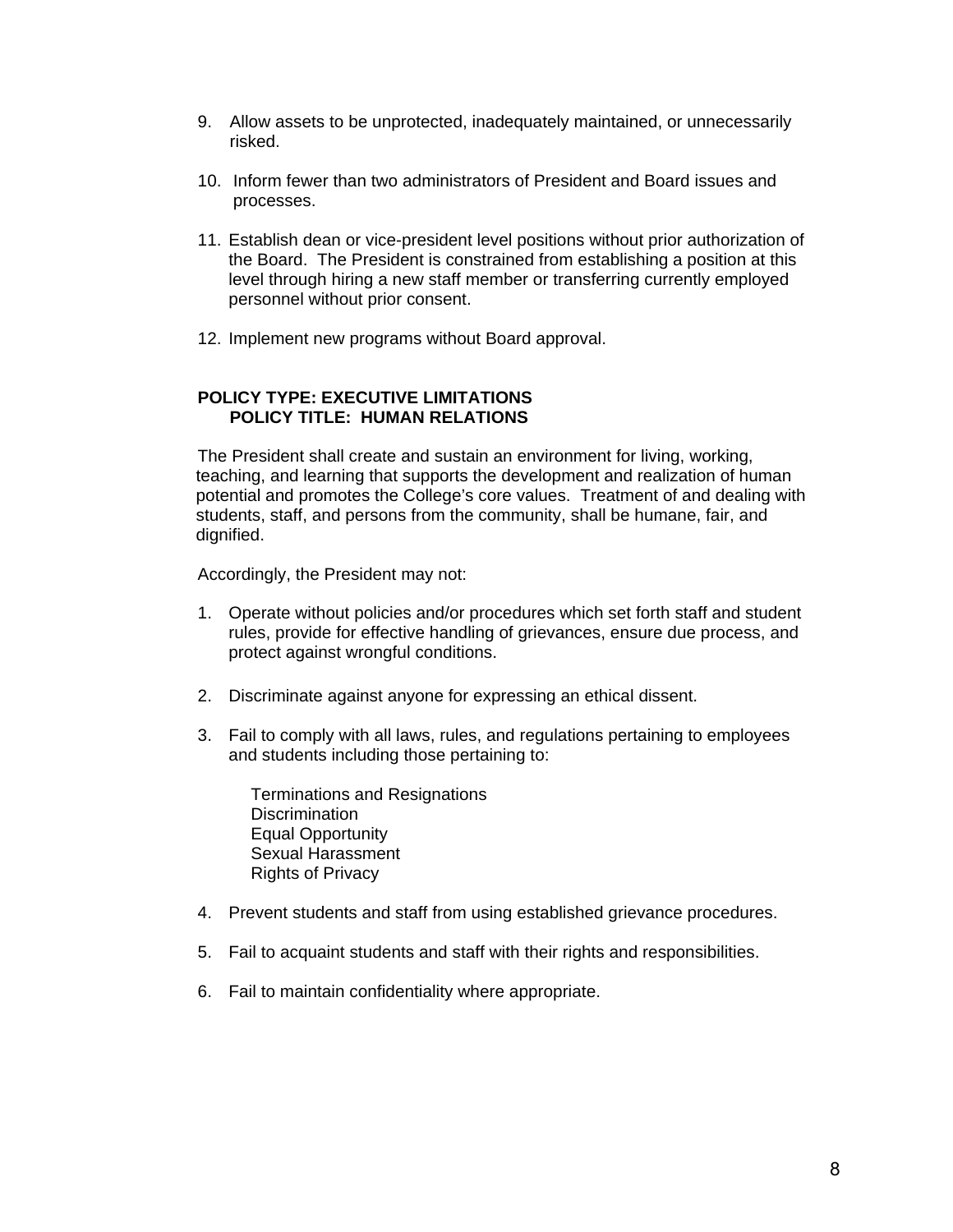- 9. Allow assets to be unprotected, inadequately maintained, or unnecessarily risked.
- 10. Inform fewer than two administrators of President and Board issues and processes.
- 11. Establish dean or vice-president level positions without prior authorization of the Board. The President is constrained from establishing a position at this level through hiring a new staff member or transferring currently employed personnel without prior consent.
- 12. Implement new programs without Board approval.

## **POLICY TYPE: EXECUTIVE LIMITATIONS POLICY TITLE: HUMAN RELATIONS**

The President shall create and sustain an environment for living, working, teaching, and learning that supports the development and realization of human potential and promotes the College's core values. Treatment of and dealing with students, staff, and persons from the community, shall be humane, fair, and dignified.

Accordingly, the President may not:

- 1. Operate without policies and/or procedures which set forth staff and student rules, provide for effective handling of grievances, ensure due process, and protect against wrongful conditions.
- 2. Discriminate against anyone for expressing an ethical dissent.
- 3. Fail to comply with all laws, rules, and regulations pertaining to employees and students including those pertaining to:

 Terminations and Resignations **Discrimination**  Equal Opportunity Sexual Harassment Rights of Privacy

- 4. Prevent students and staff from using established grievance procedures.
- 5. Fail to acquaint students and staff with their rights and responsibilities.
- 6. Fail to maintain confidentiality where appropriate.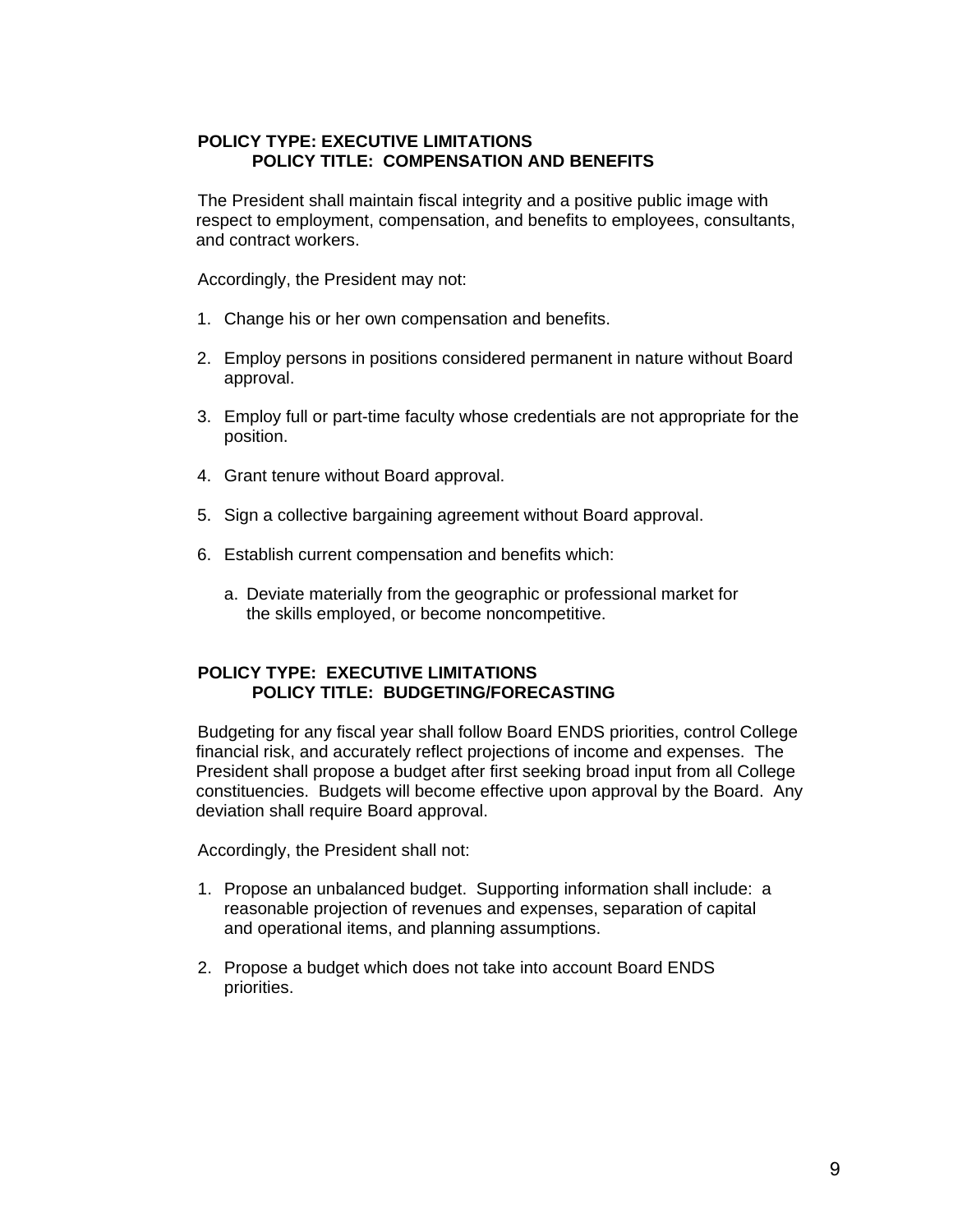## **POLICY TYPE: EXECUTIVE LIMITATIONS POLICY TITLE: COMPENSATION AND BENEFITS**

The President shall maintain fiscal integrity and a positive public image with respect to employment, compensation, and benefits to employees, consultants, and contract workers.

Accordingly, the President may not:

- 1. Change his or her own compensation and benefits.
- 2. Employ persons in positions considered permanent in nature without Board approval.
- 3. Employ full or part-time faculty whose credentials are not appropriate for the position.
- 4. Grant tenure without Board approval.
- 5. Sign a collective bargaining agreement without Board approval.
- 6. Establish current compensation and benefits which:
	- a. Deviate materially from the geographic or professional market for the skills employed, or become noncompetitive.

## **POLICY TYPE: EXECUTIVE LIMITATIONS POLICY TITLE: BUDGETING/FORECASTING**

Budgeting for any fiscal year shall follow Board ENDS priorities, control College financial risk, and accurately reflect projections of income and expenses. The President shall propose a budget after first seeking broad input from all College constituencies. Budgets will become effective upon approval by the Board. Any deviation shall require Board approval.

Accordingly, the President shall not:

- 1. Propose an unbalanced budget. Supporting information shall include: a reasonable projection of revenues and expenses, separation of capital and operational items, and planning assumptions.
- 2. Propose a budget which does not take into account Board ENDS priorities.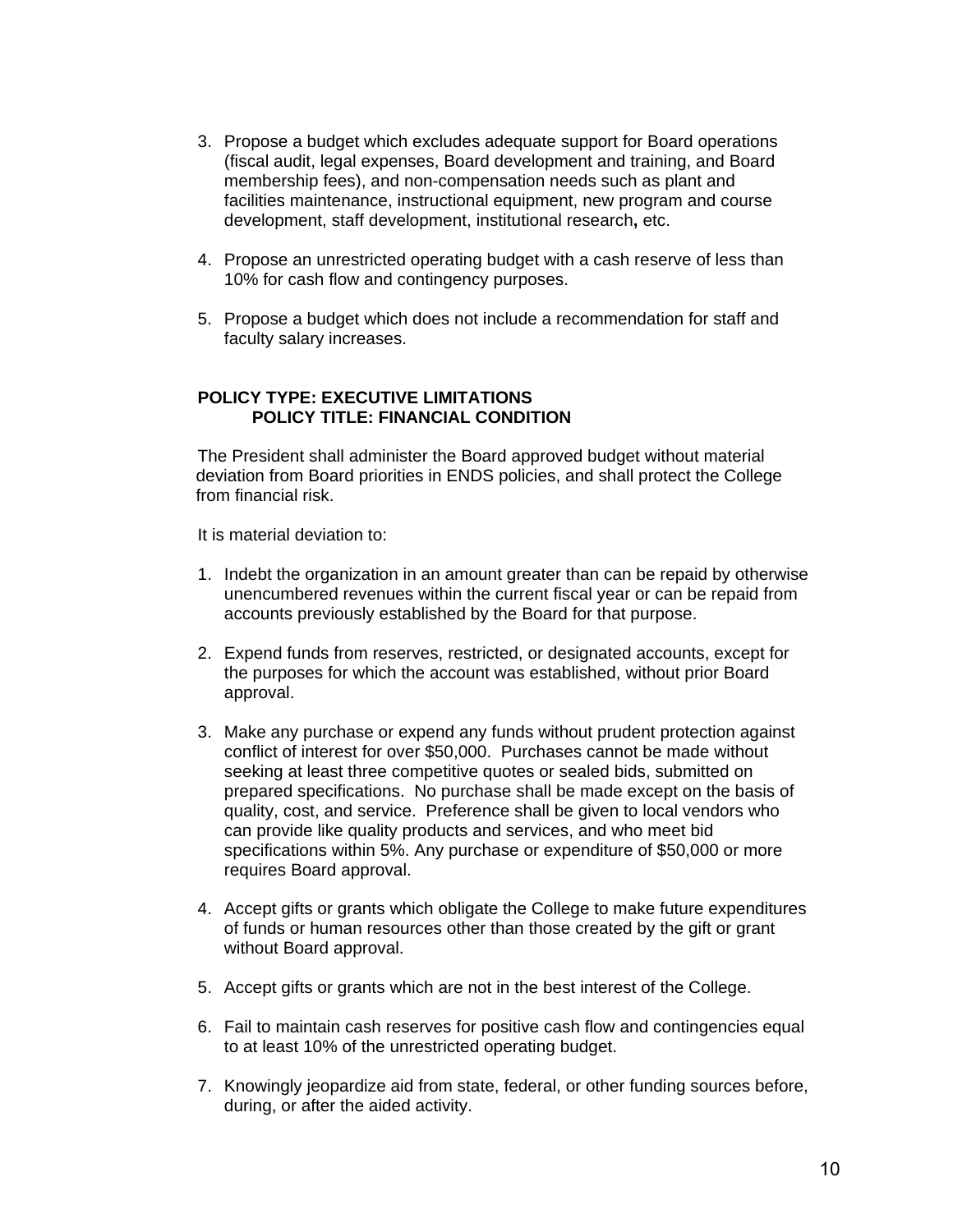- 3. Propose a budget which excludes adequate support for Board operations (fiscal audit, legal expenses, Board development and training, and Board membership fees), and non-compensation needs such as plant and facilities maintenance, instructional equipment, new program and course development, staff development, institutional research**,** etc.
- 4. Propose an unrestricted operating budget with a cash reserve of less than 10% for cash flow and contingency purposes.
- 5. Propose a budget which does not include a recommendation for staff and faculty salary increases.

## **POLICY TYPE: EXECUTIVE LIMITATIONS POLICY TITLE: FINANCIAL CONDITION**

The President shall administer the Board approved budget without material deviation from Board priorities in ENDS policies, and shall protect the College from financial risk.

It is material deviation to:

- 1. Indebt the organization in an amount greater than can be repaid by otherwise unencumbered revenues within the current fiscal year or can be repaid from accounts previously established by the Board for that purpose.
- 2. Expend funds from reserves, restricted, or designated accounts, except for the purposes for which the account was established, without prior Board approval.
- 3. Make any purchase or expend any funds without prudent protection against conflict of interest for over \$50,000. Purchases cannot be made without seeking at least three competitive quotes or sealed bids, submitted on prepared specifications. No purchase shall be made except on the basis of quality, cost, and service. Preference shall be given to local vendors who can provide like quality products and services, and who meet bid specifications within 5%. Any purchase or expenditure of \$50,000 or more requires Board approval.
- 4. Accept gifts or grants which obligate the College to make future expenditures of funds or human resources other than those created by the gift or grant without Board approval.
- 5. Accept gifts or grants which are not in the best interest of the College.
- 6. Fail to maintain cash reserves for positive cash flow and contingencies equal to at least 10% of the unrestricted operating budget.
- 7. Knowingly jeopardize aid from state, federal, or other funding sources before, during, or after the aided activity.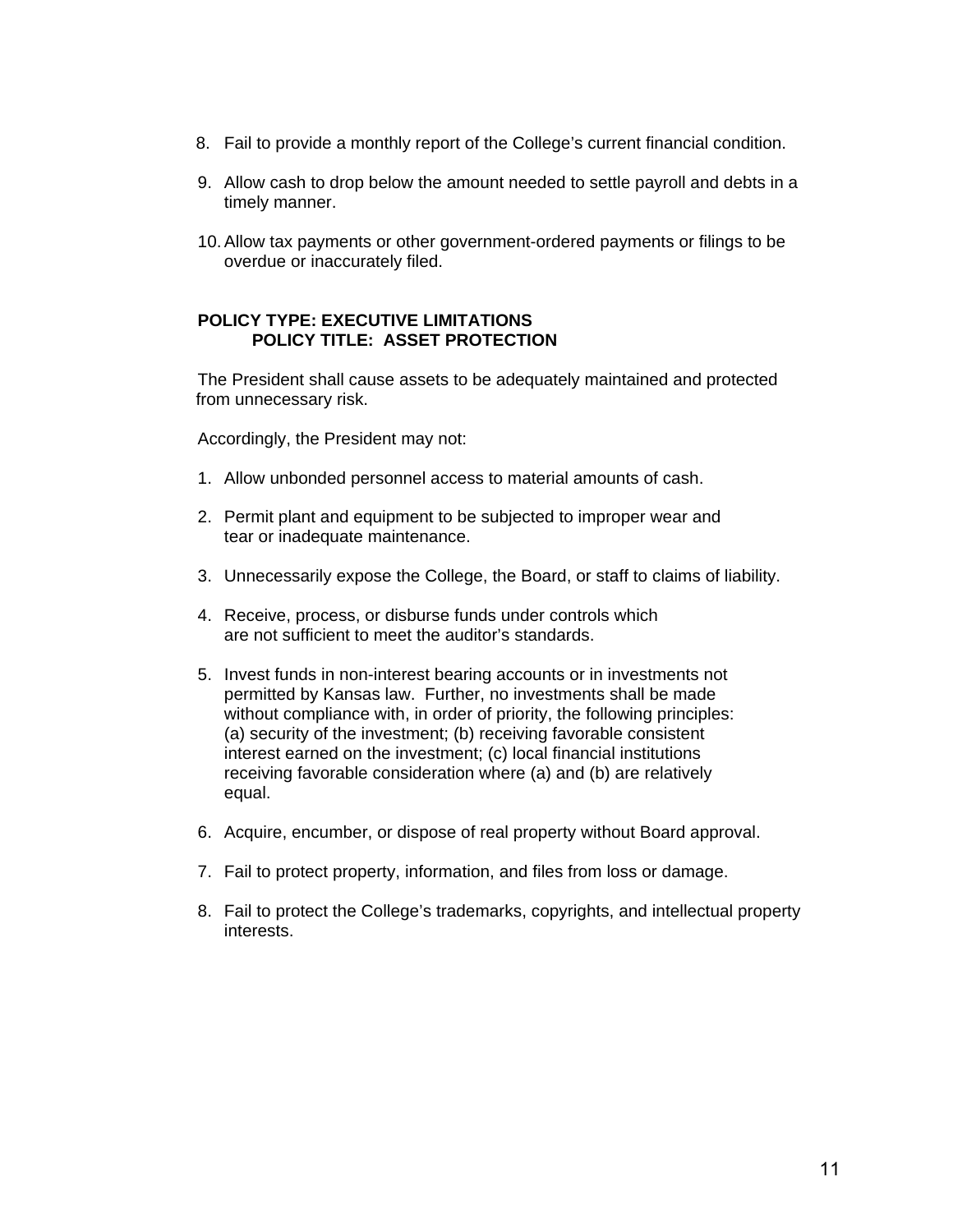- 8. Fail to provide a monthly report of the College's current financial condition.
- 9. Allow cash to drop below the amount needed to settle payroll and debts in a timely manner.
- 10. Allow tax payments or other government-ordered payments or filings to be overdue or inaccurately filed.

## **POLICY TYPE: EXECUTIVE LIMITATIONS POLICY TITLE: ASSET PROTECTION**

The President shall cause assets to be adequately maintained and protected from unnecessary risk.

Accordingly, the President may not:

- 1. Allow unbonded personnel access to material amounts of cash.
- 2. Permit plant and equipment to be subjected to improper wear and tear or inadequate maintenance.
- 3. Unnecessarily expose the College, the Board, or staff to claims of liability.
- 4. Receive, process, or disburse funds under controls which are not sufficient to meet the auditor's standards.
- 5. Invest funds in non-interest bearing accounts or in investments not permitted by Kansas law. Further, no investments shall be made without compliance with, in order of priority, the following principles: (a) security of the investment; (b) receiving favorable consistent interest earned on the investment; (c) local financial institutions receiving favorable consideration where (a) and (b) are relatively equal.
- 6. Acquire, encumber, or dispose of real property without Board approval.
- 7. Fail to protect property, information, and files from loss or damage.
- 8. Fail to protect the College's trademarks, copyrights, and intellectual property interests.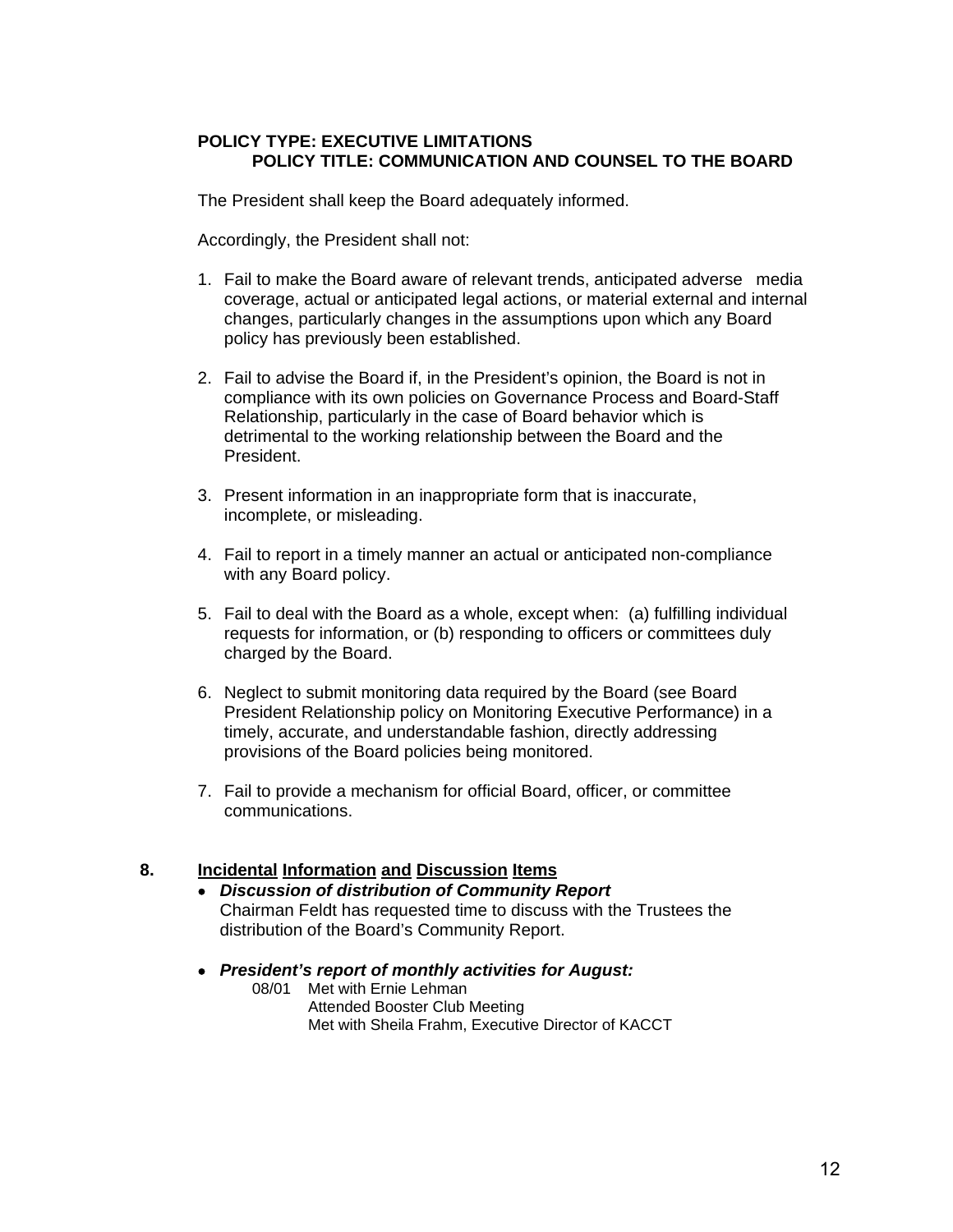## **POLICY TYPE: EXECUTIVE LIMITATIONS POLICY TITLE: COMMUNICATION AND COUNSEL TO THE BOARD**

The President shall keep the Board adequately informed.

Accordingly, the President shall not:

- 1. Fail to make the Board aware of relevant trends, anticipated adverse media coverage, actual or anticipated legal actions, or material external and internal changes, particularly changes in the assumptions upon which any Board policy has previously been established.
- 2. Fail to advise the Board if, in the President's opinion, the Board is not in compliance with its own policies on Governance Process and Board-Staff Relationship, particularly in the case of Board behavior which is detrimental to the working relationship between the Board and the President.
- 3. Present information in an inappropriate form that is inaccurate, incomplete, or misleading.
- 4. Fail to report in a timely manner an actual or anticipated non-compliance with any Board policy.
- 5. Fail to deal with the Board as a whole, except when: (a) fulfilling individual requests for information, or (b) responding to officers or committees duly charged by the Board.
- 6. Neglect to submit monitoring data required by the Board (see Board President Relationship policy on Monitoring Executive Performance) in a timely, accurate, and understandable fashion, directly addressing provisions of the Board policies being monitored.
- 7. Fail to provide a mechanism for official Board, officer, or committee communications.

# **8. Incidental Information and Discussion Items**

- *Discussion of distribution of Community Report*  Chairman Feldt has requested time to discuss with the Trustees the distribution of the Board's Community Report.
- *President's report of monthly activities for August:* 
	- 08/01 Met with Ernie Lehman Attended Booster Club Meeting Met with Sheila Frahm, Executive Director of KACCT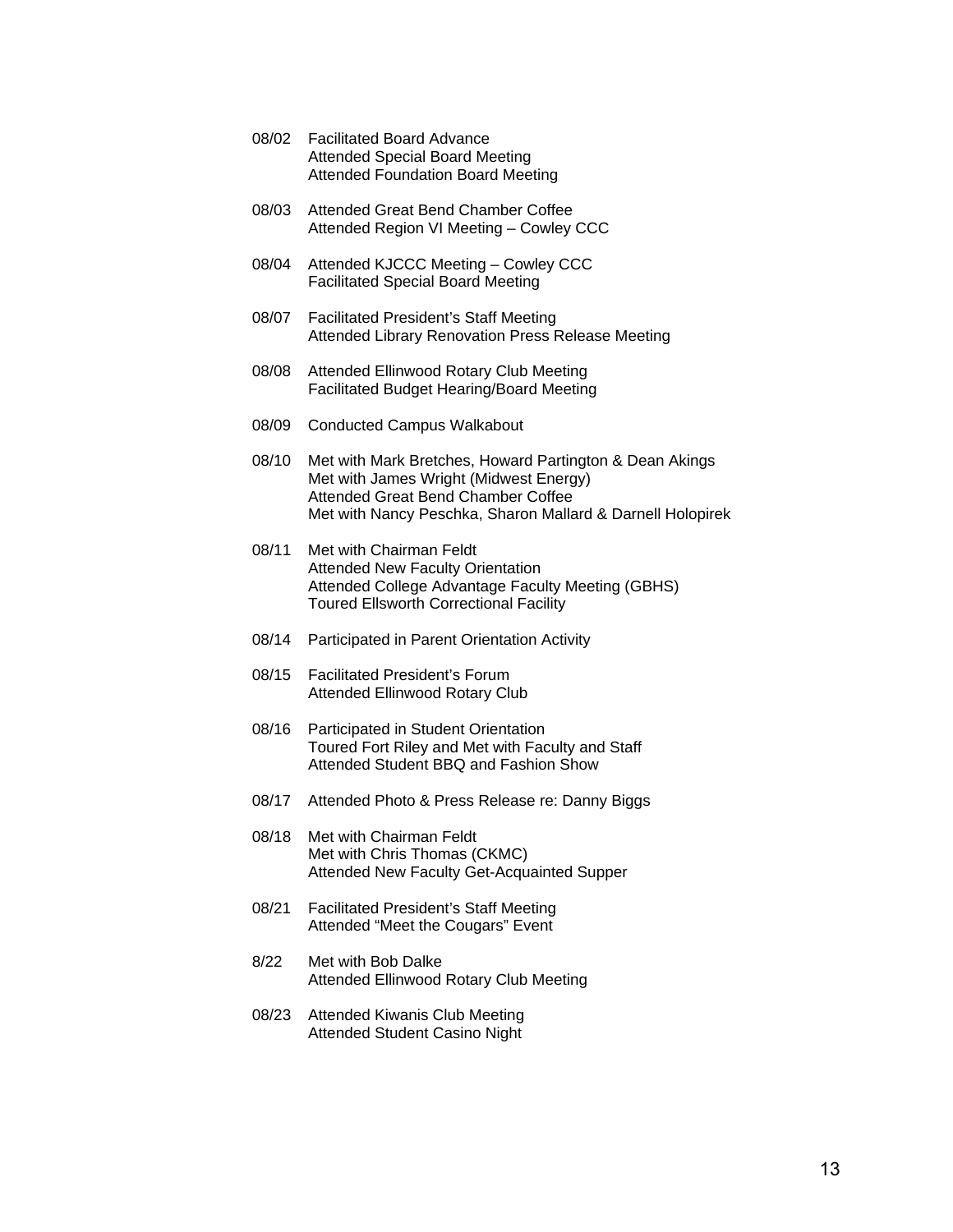- 08/02 Facilitated Board Advance Attended Special Board Meeting Attended Foundation Board Meeting 08/03 Attended Great Bend Chamber Coffee Attended Region VI Meeting – Cowley CCC
- 08/04 Attended KJCCC Meeting Cowley CCC Facilitated Special Board Meeting
- 08/07 Facilitated President's Staff Meeting Attended Library Renovation Press Release Meeting
- 08/08 Attended Ellinwood Rotary Club Meeting Facilitated Budget Hearing/Board Meeting
- 08/09 Conducted Campus Walkabout
- 08/10 Met with Mark Bretches, Howard Partington & Dean Akings Met with James Wright (Midwest Energy) Attended Great Bend Chamber Coffee Met with Nancy Peschka, Sharon Mallard & Darnell Holopirek
- 08/11 Met with Chairman Feldt Attended New Faculty Orientation Attended College Advantage Faculty Meeting (GBHS) Toured Ellsworth Correctional Facility
- 08/14 Participated in Parent Orientation Activity
- 08/15 Facilitated President's Forum Attended Ellinwood Rotary Club
- 08/16 Participated in Student Orientation Toured Fort Riley and Met with Faculty and Staff Attended Student BBQ and Fashion Show
- 08/17 Attended Photo & Press Release re: Danny Biggs
- 08/18 Met with Chairman Feldt Met with Chris Thomas (CKMC) Attended New Faculty Get-Acquainted Supper
- 08/21 Facilitated President's Staff Meeting Attended "Meet the Cougars" Event
- 8/22 Met with Bob Dalke Attended Ellinwood Rotary Club Meeting
- 08/23 Attended Kiwanis Club Meeting Attended Student Casino Night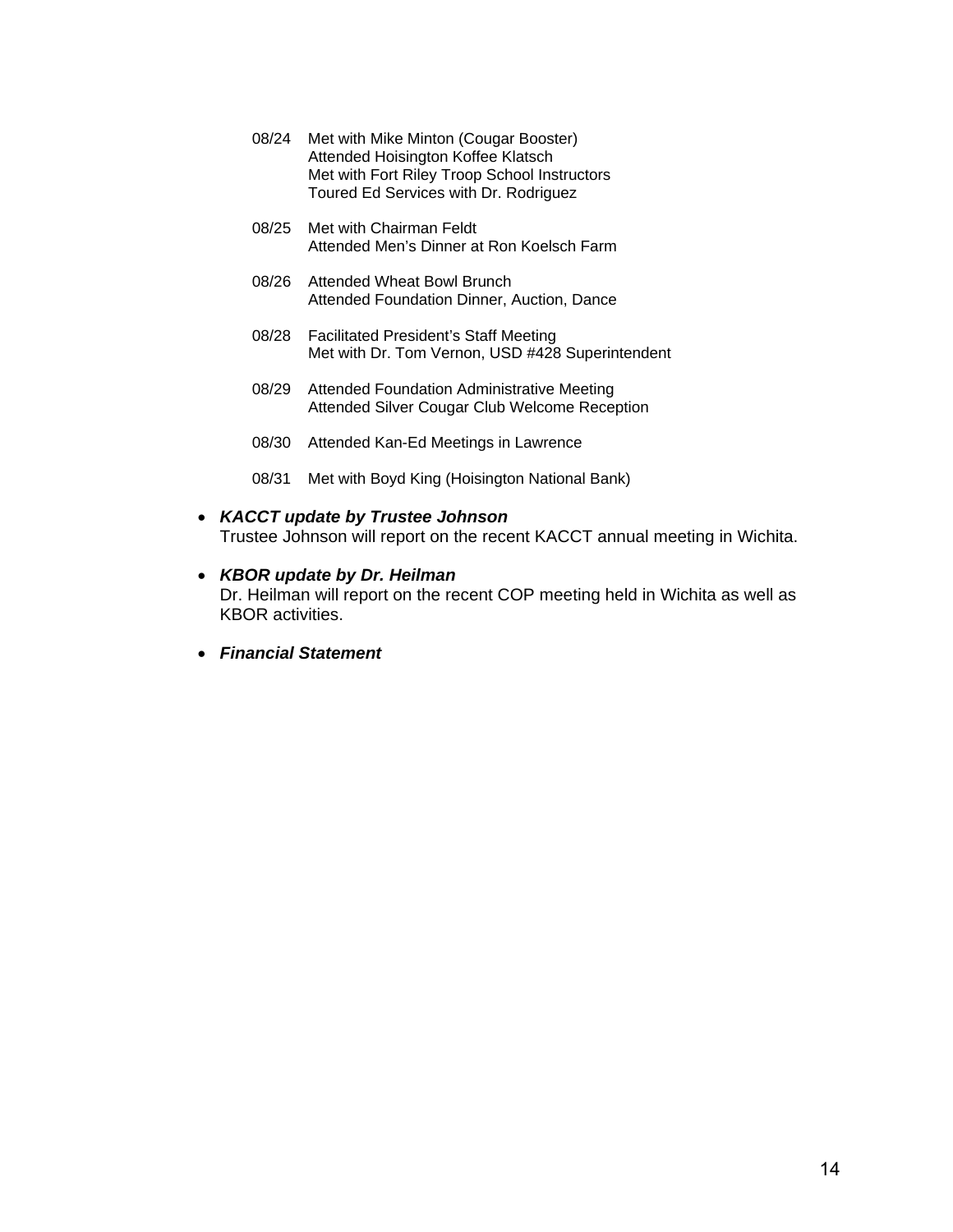- 08/24 Met with Mike Minton (Cougar Booster) Attended Hoisington Koffee Klatsch Met with Fort Riley Troop School Instructors Toured Ed Services with Dr. Rodriguez
- 08/25 Met with Chairman Feldt Attended Men's Dinner at Ron Koelsch Farm
- 08/26 Attended Wheat Bowl Brunch Attended Foundation Dinner, Auction, Dance
- 08/28 Facilitated President's Staff Meeting Met with Dr. Tom Vernon, USD #428 Superintendent
- 08/29 Attended Foundation Administrative Meeting Attended Silver Cougar Club Welcome Reception
- 08/30 Attended Kan-Ed Meetings in Lawrence
- 08/31 Met with Boyd King (Hoisington National Bank)
- *KACCT update by Trustee Johnson*  Trustee Johnson will report on the recent KACCT annual meeting in Wichita.
- *KBOR update by Dr. Heilman*  Dr. Heilman will report on the recent COP meeting held in Wichita as well as KBOR activities.
	- *Financial Statement*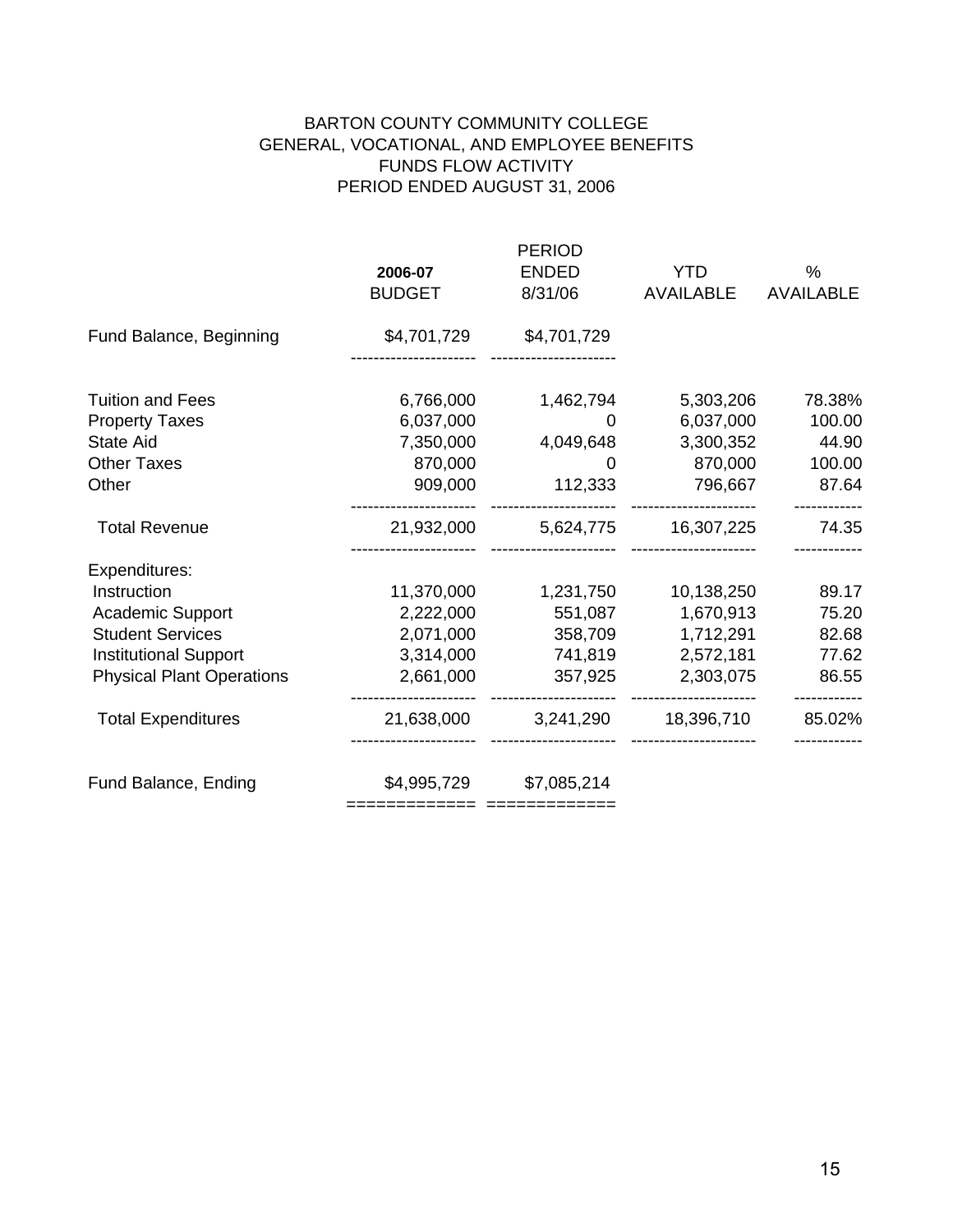# BARTON COUNTY COMMUNITY COLLEGE GENERAL, VOCATIONAL, AND EMPLOYEE BENEFITS FUNDS FLOW ACTIVITY PERIOD ENDED AUGUST 31, 2006

|                                  | <b>PERIOD</b>              |              |            |                  |  |
|----------------------------------|----------------------------|--------------|------------|------------------|--|
|                                  | 2006-07                    | <b>ENDED</b> | <b>YTD</b> | $\frac{0}{0}$    |  |
|                                  | <b>BUDGET</b>              | 8/31/06      | AVAILABLE  | <b>AVAILABLE</b> |  |
| Fund Balance, Beginning          | \$4,701,729                | \$4,701,729  |            |                  |  |
| <b>Tuition and Fees</b>          | 6,766,000                  | 1,462,794    | 5,303,206  | 78.38%           |  |
| <b>Property Taxes</b>            | 6,037,000                  | 0            | 6,037,000  | 100.00           |  |
| <b>State Aid</b>                 | 7,350,000                  | 4,049,648    | 3,300,352  | 44.90            |  |
| <b>Other Taxes</b>               | 870,000                    | $\Omega$     | 870,000    | 100.00           |  |
| Other                            | 909,000                    | 112,333      | 796,667    | 87.64            |  |
| <b>Total Revenue</b>             | 21,932,000                 |              |            | 74.35            |  |
| Expenditures:                    |                            |              |            |                  |  |
| Instruction                      | 11,370,000                 | 1,231,750    | 10,138,250 | 89.17            |  |
| <b>Academic Support</b>          | 2,222,000                  | 551,087      | 1,670,913  | 75.20            |  |
| <b>Student Services</b>          | 2,071,000                  | 358,709      | 1,712,291  | 82.68            |  |
| <b>Institutional Support</b>     | 3,314,000                  | 741,819      | 2,572,181  | 77.62            |  |
| <b>Physical Plant Operations</b> | 2,661,000                  | 357,925      | 2,303,075  | 86.55            |  |
| <b>Total Expenditures</b>        | 21,638,000                 | 3,241,290    | 18,396,710 | 85.02%           |  |
| Fund Balance, Ending             | \$4,995,729                | \$7,085,214  |            |                  |  |
|                                  | ========================== |              |            |                  |  |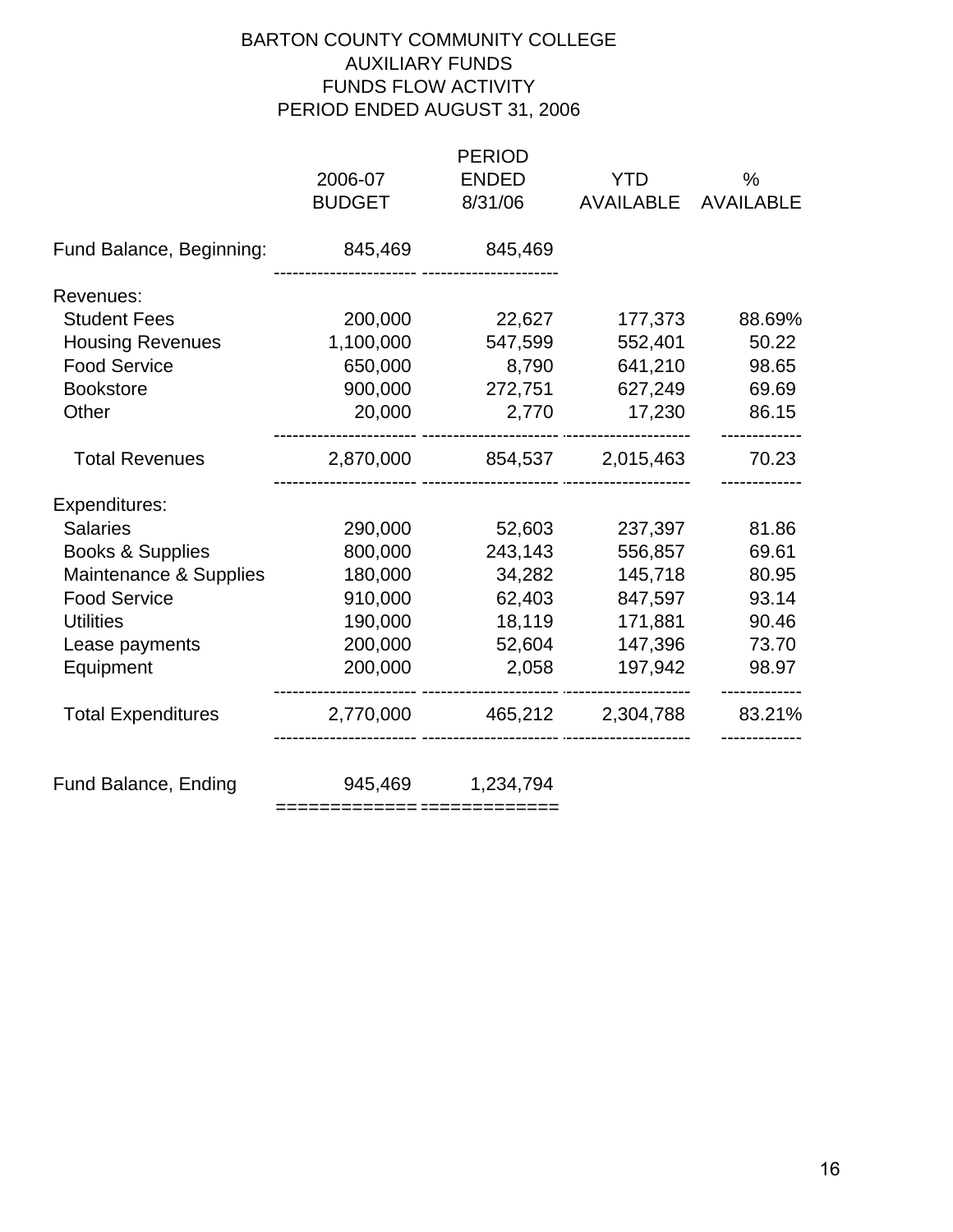# BARTON COUNTY COMMUNITY COLLEGE AUXILIARY FUNDS FUNDS FLOW ACTIVITY PERIOD ENDED AUGUST 31, 2006

|                           | 2006-07<br><b>BUDGET</b> | <b>PERIOD</b><br><b>ENDED</b><br>8/31/06 | <b>YTD</b><br><b>AVAILABLE</b> | $\frac{0}{0}$<br><b>AVAILABLE</b> |
|---------------------------|--------------------------|------------------------------------------|--------------------------------|-----------------------------------|
| Fund Balance, Beginning:  | 845,469                  | 845,469                                  |                                |                                   |
| Revenues:                 |                          |                                          |                                |                                   |
| <b>Student Fees</b>       | 200,000                  | 22,627                                   | 177,373                        | 88.69%                            |
| <b>Housing Revenues</b>   | 1,100,000                | 547,599                                  | 552,401                        | 50.22                             |
| <b>Food Service</b>       | 650,000                  | 8,790                                    | 641,210                        | 98.65                             |
| <b>Bookstore</b>          | 900,000                  | 272,751                                  | 627,249                        | 69.69                             |
| Other                     | 20,000                   | 2,770                                    | 17,230                         | 86.15                             |
| <b>Total Revenues</b>     | 2,870,000                |                                          | 854,537 2,015,463              | 70.23                             |
| Expenditures:             |                          |                                          |                                |                                   |
| <b>Salaries</b>           | 290,000                  | 52,603                                   | 237,397                        | 81.86                             |
| Books & Supplies          | 800,000                  | 243,143                                  | 556,857                        | 69.61                             |
| Maintenance & Supplies    | 180,000                  | 34,282                                   | 145,718                        | 80.95                             |
| <b>Food Service</b>       | 910,000                  | 62,403                                   | 847,597                        | 93.14                             |
| <b>Utilities</b>          | 190,000                  | 18,119                                   | 171,881                        | 90.46                             |
| Lease payments            | 200,000                  | 52,604                                   | 147,396                        | 73.70                             |
| Equipment                 | 200,000                  | 2,058                                    | 197,942                        | 98.97                             |
| <b>Total Expenditures</b> | 2,770,000                |                                          | 465,212 2,304,788              | 83.21%                            |
| Fund Balance, Ending      | 945,469                  | 1,234,794                                |                                |                                   |

= ============= ============